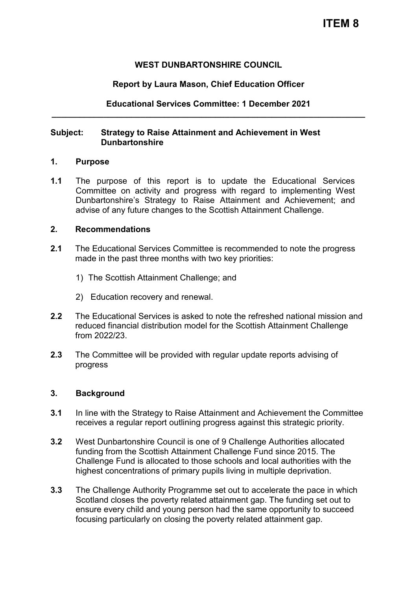## **WEST DUNBARTONSHIRE COUNCIL**

## **Report by Laura Mason, Chief Education Officer**

# **Educational Services Committee: 1 December 2021 \_\_\_\_\_\_\_\_\_\_\_\_\_\_\_\_\_\_\_\_\_\_\_\_\_\_\_\_\_\_\_\_\_\_\_\_\_\_\_\_\_\_\_\_\_\_\_\_\_\_\_\_\_\_\_\_\_\_\_\_\_\_\_\_\_\_\_**

### **Subject: Strategy to Raise Attainment and Achievement in West Dunbartonshire**

### **1. Purpose**

**1.1** The purpose of this report is to update the Educational Services Committee on activity and progress with regard to implementing West Dunbartonshire's Strategy to Raise Attainment and Achievement; and advise of any future changes to the Scottish Attainment Challenge.

#### **2. Recommendations**

- **2.1** The Educational Services Committee is recommended to note the progress made in the past three months with two key priorities:
	- 1) The Scottish Attainment Challenge; and
	- 2) Education recovery and renewal.
- **2.2** The Educational Services is asked to note the refreshed national mission and reduced financial distribution model for the Scottish Attainment Challenge from 2022/23.
- **2.3** The Committee will be provided with regular update reports advising of progress

### **3. Background**

- **3.1** In line with the Strategy to Raise Attainment and Achievement the Committee receives a regular report outlining progress against this strategic priority.
- **3.2** West Dunbartonshire Council is one of 9 Challenge Authorities allocated funding from the Scottish Attainment Challenge Fund since 2015. The Challenge Fund is allocated to those schools and local authorities with the highest concentrations of primary pupils living in multiple deprivation.
- **3.3** The Challenge Authority Programme set out to accelerate the pace in which Scotland closes the poverty related attainment gap. The funding set out to ensure every child and young person had the same opportunity to succeed focusing particularly on closing the poverty related attainment gap.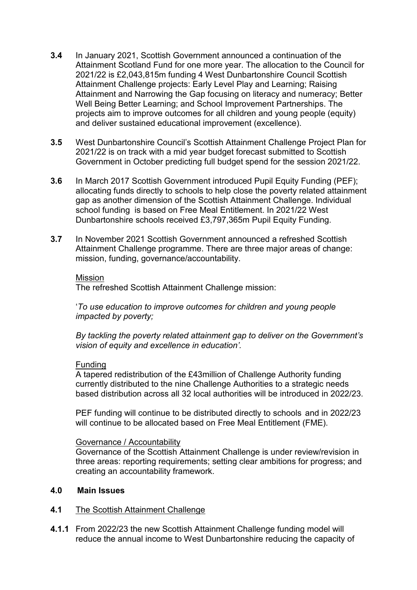- **3.4** In January 2021, Scottish Government announced a continuation of the Attainment Scotland Fund for one more year. The allocation to the Council for 2021/22 is £2,043,815m funding 4 West Dunbartonshire Council Scottish Attainment Challenge projects: Early Level Play and Learning; Raising Attainment and Narrowing the Gap focusing on literacy and numeracy; Better Well Being Better Learning; and School Improvement Partnerships. The projects aim to improve outcomes for all children and young people (equity) and deliver sustained educational improvement (excellence).
- **3.5** West Dunbartonshire Council's Scottish Attainment Challenge Project Plan for 2021/22 is on track with a mid year budget forecast submitted to Scottish Government in October predicting full budget spend for the session 2021/22.
- **3.6** In March 2017 Scottish Government introduced Pupil Equity Funding (PEF); allocating funds directly to schools to help close the poverty related attainment gap as another dimension of the Scottish Attainment Challenge. Individual school funding is based on Free Meal Entitlement. In 2021/22 West Dunbartonshire schools received £3,797,365m Pupil Equity Funding.
- **3.7** In November 2021 Scottish Government announced a refreshed Scottish Attainment Challenge programme. There are three major areas of change: mission, funding, governance/accountability.

#### Mission

The refreshed Scottish Attainment Challenge mission:

'*To use education to improve outcomes for children and young people impacted by poverty;* 

*By tackling the poverty related attainment gap to deliver on the Government's vision of equity and excellence in education'.*

### Funding

A tapered redistribution of the £43million of Challenge Authority funding currently distributed to the nine Challenge Authorities to a strategic needs based distribution across all 32 local authorities will be introduced in 2022/23.

PEF funding will continue to be distributed directly to schools and in 2022/23 will continue to be allocated based on Free Meal Entitlement (FME).

### Governance / Accountability

Governance of the Scottish Attainment Challenge is under review/revision in three areas: reporting requirements; setting clear ambitions for progress; and creating an accountability framework.

#### **4.0 Main Issues**

- **4.1** The Scottish Attainment Challenge
- **4.1.1** From 2022/23 the new Scottish Attainment Challenge funding model will reduce the annual income to West Dunbartonshire reducing the capacity of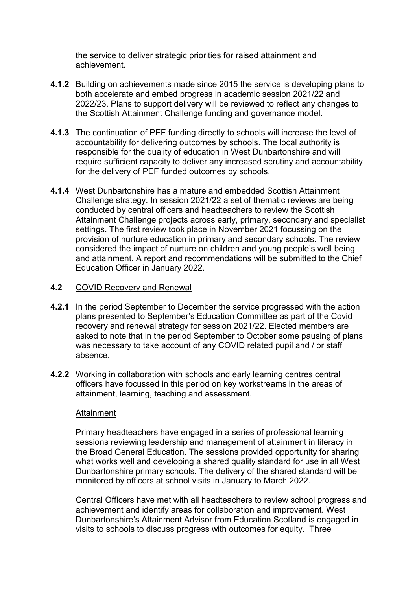the service to deliver strategic priorities for raised attainment and achievement.

- **4.1.2** Building on achievements made since 2015 the service is developing plans to both accelerate and embed progress in academic session 2021/22 and 2022/23. Plans to support delivery will be reviewed to reflect any changes to the Scottish Attainment Challenge funding and governance model.
- **4.1.3** The continuation of PEF funding directly to schools will increase the level of accountability for delivering outcomes by schools. The local authority is responsible for the quality of education in West Dunbartonshire and will require sufficient capacity to deliver any increased scrutiny and accountability for the delivery of PEF funded outcomes by schools.
- **4.1.4** West Dunbartonshire has a mature and embedded Scottish Attainment Challenge strategy. In session 2021/22 a set of thematic reviews are being conducted by central officers and headteachers to review the Scottish Attainment Challenge projects across early, primary, secondary and specialist settings. The first review took place in November 2021 focussing on the provision of nurture education in primary and secondary schools. The review considered the impact of nurture on children and young people's well being and attainment. A report and recommendations will be submitted to the Chief Education Officer in January 2022.

### **4.2** COVID Recovery and Renewal

- **4.2.1** In the period September to December the service progressed with the action plans presented to September's Education Committee as part of the Covid recovery and renewal strategy for session 2021/22. Elected members are asked to note that in the period September to October some pausing of plans was necessary to take account of any COVID related pupil and / or staff absence.
- **4.2.2** Working in collaboration with schools and early learning centres central officers have focussed in this period on key workstreams in the areas of attainment, learning, teaching and assessment.

### Attainment

Primary headteachers have engaged in a series of professional learning sessions reviewing leadership and management of attainment in literacy in the Broad General Education. The sessions provided opportunity for sharing what works well and developing a shared quality standard for use in all West Dunbartonshire primary schools. The delivery of the shared standard will be monitored by officers at school visits in January to March 2022.

Central Officers have met with all headteachers to review school progress and achievement and identify areas for collaboration and improvement. West Dunbartonshire's Attainment Advisor from Education Scotland is engaged in visits to schools to discuss progress with outcomes for equity. Three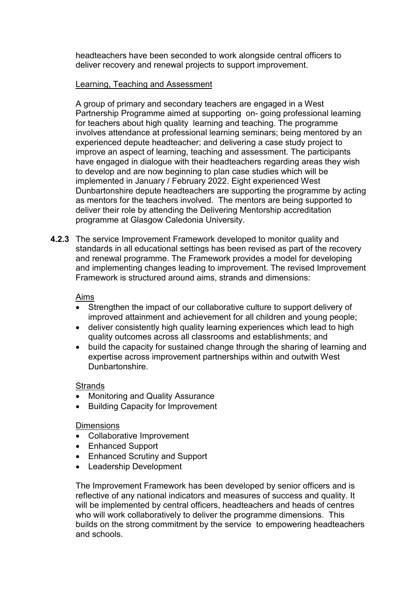headteachers have been seconded to work alongside central officers to deliver recovery and renewal projects to support improvement.

### Learning, Teaching and Assessment

A group of primary and secondary teachers are engaged in a West Partnership Programme aimed at supporting on- going professional learning for teachers about high quality learning and teaching. The programme involves attendance at professional learning seminars; being mentored by an experienced depute headteacher; and delivering a case study project to improve an aspect of learning, teaching and assessment. The participants have engaged in dialogue with their headteachers regarding areas they wish to develop and are now beginning to plan case studies which will be implemented in January / February 2022. Eight experienced West Dunbartonshire depute headteachers are supporting the programme by acting as mentors for the teachers involved. The mentors are being supported to deliver their role by attending the Delivering Mentorship accreditation programme at Glasgow Caledonia University.

**4.2.3** The service Improvement Framework developed to monitor quality and standards in all educational settings has been revised as part of the recovery and renewal programme. The Framework provides a model for developing and implementing changes leading to improvement. The revised Improvement Framework is structured around aims, strands and dimensions:

### Aims

- Strengthen the impact of our collaborative culture to support delivery of improved attainment and achievement for all children and young people;
- deliver consistently high quality learning experiences which lead to high quality outcomes across all classrooms and establishments; and
- build the capacity for sustained change through the sharing of learning and expertise across improvement partnerships within and outwith West Dunbartonshire.

### **Strands**

- Monitoring and Quality Assurance
- Building Capacity for Improvement

### **Dimensions**

- Collaborative Improvement
- Enhanced Support
- Enhanced Scrutiny and Support
- Leadership Development

The Improvement Framework has been developed by senior officers and is reflective of any national indicators and measures of success and quality. It will be implemented by central officers, headteachers and heads of centres who will work collaboratively to deliver the programme dimensions. This builds on the strong commitment by the service to empowering headteachers and schools.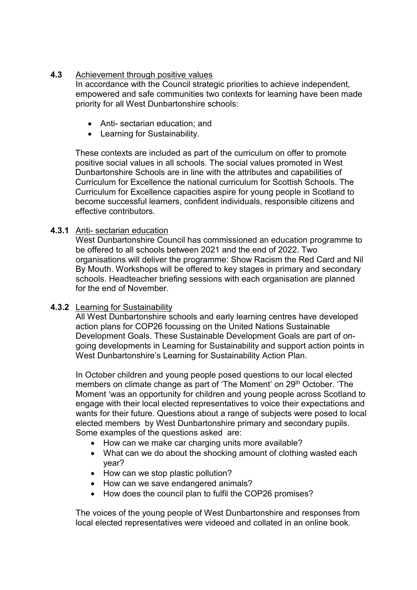## **4.3** Achievement through positive values

In accordance with the Council strategic priorities to achieve independent, empowered and safe communities two contexts for learning have been made priority for all West Dunbartonshire schools:

- Anti- sectarian education; and
- Learning for Sustainability.

These contexts are included as part of the curriculum on offer to promote positive social values in all schools. The social values promoted in West Dunbartonshire Schools are in line with the attributes and capabilities of Curriculum for Excellence the national curriculum for Scottish Schools. The Curriculum for Excellence capacities aspire for young people in Scotland to become successful learners, confident individuals, responsible citizens and effective contributors.

# **4.3.1** Anti- sectarian education

West Dunbartonshire Council has commissioned an education programme to be offered to all schools between 2021 and the end of 2022. Two organisations will deliver the programme: Show Racism the Red Card and Nil By Mouth. Workshops will be offered to key stages in primary and secondary schools. Headteacher briefing sessions with each organisation are planned for the end of November.

# **4.3.2** Learning for Sustainability

All West Dunbartonshire schools and early learning centres have developed action plans for COP26 focussing on the United Nations Sustainable Development Goals. These Sustainable Development Goals are part of ongoing developments in Learning for Sustainability and support action points in West Dunbartonshire's Learning for Sustainability Action Plan.

In October children and young people posed questions to our local elected members on climate change as part of 'The Moment' on 29<sup>th</sup> October. 'The Moment 'was an opportunity for children and young people across Scotland to engage with their local elected representatives to voice their expectations and wants for their future. Questions about a range of subjects were posed to local elected members by West Dunbartonshire primary and secondary pupils. Some examples of the questions asked are:

- How can we make car charging units more available?
- What can we do about the shocking amount of clothing wasted each year?
- How can we stop plastic pollution?
- How can we save endangered animals?
- How does the council plan to fulfil the COP26 promises?

The voices of the young people of West Dunbartonshire and responses from local elected representatives were videoed and collated in an online book.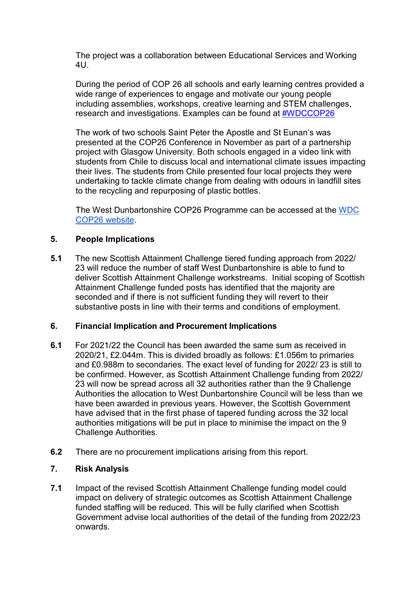The project was a collaboration between Educational Services and Working 4U.

During the period of COP 26 all schools and early learning centres provided a wide range of experiences to engage and motivate our young people including assemblies, workshops, creative learning and STEM challenges, research and investigations. Examples can be found at [#WDCCOP26](https://twitter.com/search?q=%23wdccop26)

The work of two schools Saint Peter the Apostle and St Eunan's was presented at the COP26 Conference in November as part of a partnership project with Glasgow University. Both schools engaged in a video link with students from Chile to discuss local and international climate issues impacting their lives. The students from Chile presented four local projects they were undertaking to tackle climate change from dealing with odours in landfill sites to the recycling and repurposing of plastic bottles.

The West Dunbartonshire COP26 Programme can be accessed at the [WDC](https://sites.google.com/ourcloud.buzz/wdcop26/home)  [COP26 website.](https://sites.google.com/ourcloud.buzz/wdcop26/home)

### **5. People Implications**

**5.1** The new Scottish Attainment Challenge tiered funding approach from 2022/ 23 will reduce the number of staff West Dunbartonshire is able to fund to deliver Scottish Attainment Challenge workstreams. Initial scoping of Scottish Attainment Challenge funded posts has identified that the majority are seconded and if there is not sufficient funding they will revert to their substantive posts in line with their terms and conditions of employment.

## **6. Financial Implication and Procurement Implications**

- **6.1** For 2021/22 the Council has been awarded the same sum as received in 2020/21, £2.044m. This is divided broadly as follows: £1.056m to primaries and £0.988m to secondaries. The exact level of funding for 2022/ 23 is still to be confirmed. However, as Scottish Attainment Challenge funding from 2022/ 23 will now be spread across all 32 authorities rather than the 9 Challenge Authorities the allocation to West Dunbartonshire Council will be less than we have been awarded in previous years. However, the Scottish Government have advised that in the first phase of tapered funding across the 32 local authorities mitigations will be put in place to minimise the impact on the 9 Challenge Authorities.
- **6.2** There are no procurement implications arising from this report.

# **7. Risk Analysis**

**7.1** Impact of the revised Scottish Attainment Challenge funding model could impact on delivery of strategic outcomes as Scottish Attainment Challenge funded staffing will be reduced. This will be fully clarified when Scottish Government advise local authorities of the detail of the funding from 2022/23 onwards.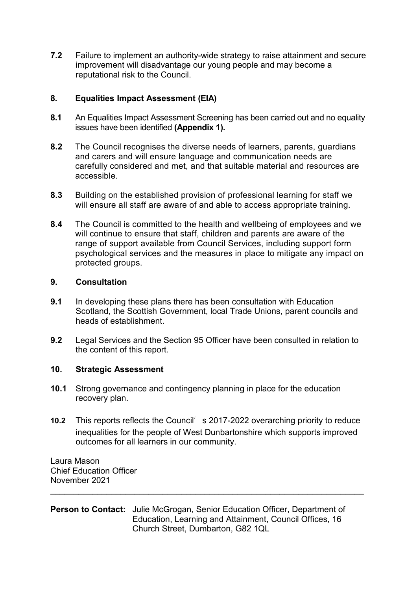**7.2** Failure to implement an authority-wide strategy to raise attainment and secure improvement will disadvantage our young people and may become a reputational risk to the Council.

# **8. Equalities Impact Assessment (EIA)**

- **8.1** An Equalities Impact Assessment Screening has been carried out and no equality issues have been identified **(Appendix 1).**
- **8.2** The Council recognises the diverse needs of learners, parents, guardians and carers and will ensure language and communication needs are carefully considered and met, and that suitable material and resources are accessible.
- **8.3** Building on the established provision of professional learning for staff we will ensure all staff are aware of and able to access appropriate training.
- **8.4** The Council is committed to the health and wellbeing of employees and we will continue to ensure that staff, children and parents are aware of the range of support available from Council Services, including support form psychological services and the measures in place to mitigate any impact on protected groups.

#### **9. Consultation**

- **9.1** In developing these plans there has been consultation with Education Scotland, the Scottish Government, local Trade Unions, parent councils and heads of establishment.
- **9.2** Legal Services and the Section 95 Officer have been consulted in relation to the content of this report.

### **10. Strategic Assessment**

- **10.1** Strong governance and contingency planning in place for the education recovery plan.
- **10.2** This reports reflects the Council's 2017-2022 overarching priority to reduce inequalities for the people of West Dunbartonshire which supports improved outcomes for all learners in our community.

 $\overline{\phantom{a}}$  , and the contribution of the contribution of the contribution of the contribution of the contribution of the contribution of the contribution of the contribution of the contribution of the contribution of the

Laura Mason Chief Education Officer November 2021

### **Person to Contact:** Julie McGrogan, Senior Education Officer, Department of Education, Learning and Attainment, Council Offices, 16 Church Street, Dumbarton, G82 1QL